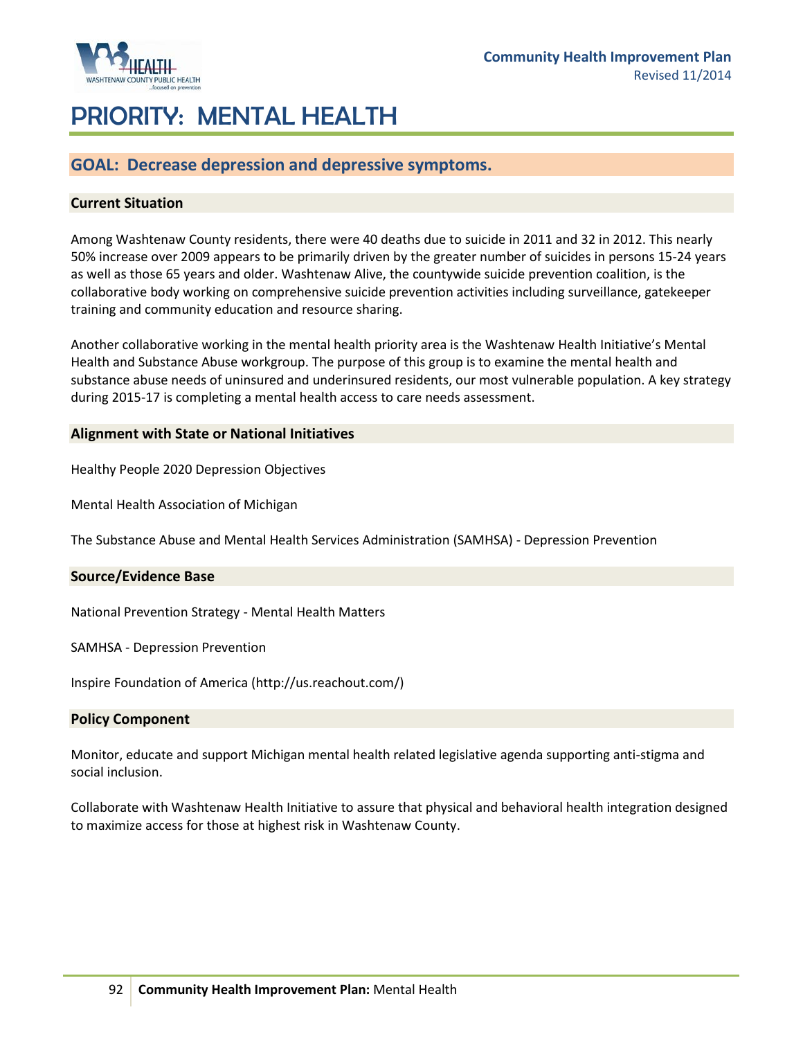

# PRIORITY: MENTAL HEALTH

## **GOAL: Decrease depression and depressive symptoms.**

### **Current Situation**

Among Washtenaw County residents, there were 40 deaths due to suicide in 2011 and 32 in 2012. This nearly 50% increase over 2009 appears to be primarily driven by the greater number of suicides in persons 15-24 years as well as those 65 years and older. Washtenaw Alive, the countywide suicide prevention coalition, is the collaborative body working on comprehensive suicide prevention activities including surveillance, gatekeeper training and community education and resource sharing.

Another collaborative working in the mental health priority area is the Washtenaw Health Initiative's Mental Health and Substance Abuse workgroup. The purpose of this group is to examine the mental health and substance abuse needs of uninsured and underinsured residents, our most vulnerable population. A key strategy during 2015-17 is completing a mental health access to care needs assessment.

#### **Alignment with State or National Initiatives**

[Healthy People 2020 Depression Objectives](http://www.healthypeople.gov/2020/topicsobjectives2020/objectiveslist.aspx?topicId=28)

[Mental Health Association of Michigan](http://www.mha-mi.com/)

[The Substance Abuse and Mental Health Services Administration \(SAMHSA\)](http://www.samhsa.gov/prevention/) - Depression Prevention

#### **Source/Evidence Base**

[National Prevention Strategy](http://www.surgeongeneral.gov/initiatives/prevention/strategy/) - Mental Health Matters

SAMHSA - [Depression Prevention](http://promoteacceptance.samhsa.gov/campaigns/)

[Inspire Foundation of America](http://www.inspireusafoundation.org/) [\(http://us.reachout.com/\)](http://us.reachout.com/)

#### **Policy Component**

Monitor, educate and support Michigan mental health related legislative agenda supporting anti-stigma and social inclusion.

Collaborate with Washtenaw Health Initiative to assure that physical and behavioral health integration designed to maximize access for those at highest risk in Washtenaw County.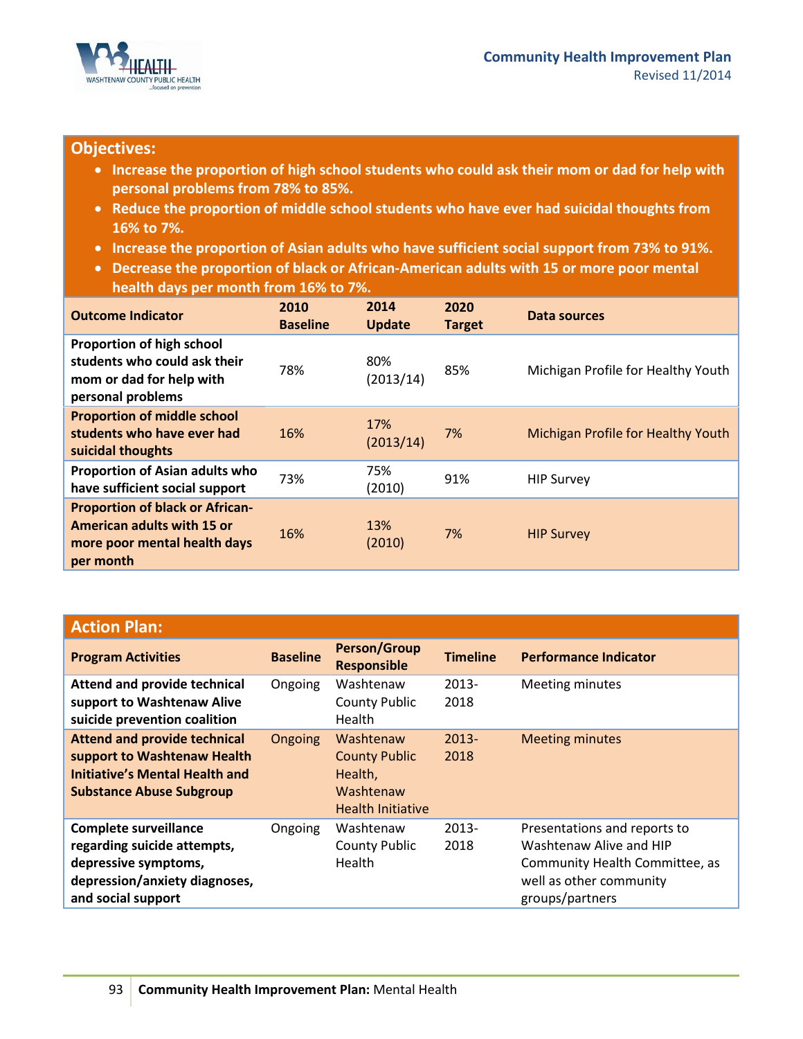

## **Objectives:**

- **Increase the proportion of high school students who could ask their mom or dad for help with personal problems from 78% to 85%.**
- **Reduce the proportion of middle school students who have ever had suicidal thoughts from 16% to 7%.**
- **Increase the proportion of Asian adults who have sufficient social support from 73% to 91%.**
- **Decrease the proportion of black or African-American adults with 15 or more poor mental health days per month from 16% to 7%.**

| <b>Outcome Indicator</b>                                                                                          | 2010<br><b>Baseline</b> | 2014<br><b>Update</b> | 2020<br><b>Target</b> | Data sources                       |
|-------------------------------------------------------------------------------------------------------------------|-------------------------|-----------------------|-----------------------|------------------------------------|
| Proportion of high school<br>students who could ask their<br>mom or dad for help with<br>personal problems        | 78%                     | 80%<br>(2013/14)      | 85%                   | Michigan Profile for Healthy Youth |
| <b>Proportion of middle school</b><br>students who have ever had<br>suicidal thoughts                             | 16%                     | 17%<br>(2013/14)      | 7%                    | Michigan Profile for Healthy Youth |
| <b>Proportion of Asian adults who</b><br>have sufficient social support                                           | 73%                     | 75%<br>(2010)         | 91%                   | <b>HIP Survey</b>                  |
| <b>Proportion of black or African-</b><br>American adults with 15 or<br>more poor mental health days<br>per month | 16%                     | 13%<br>(2010)         | 7%                    | <b>HIP Survey</b>                  |

| <b>Action Plan:</b>                                                                                                                            |                 |                                                                                       |                  |                                                                                                                                         |
|------------------------------------------------------------------------------------------------------------------------------------------------|-----------------|---------------------------------------------------------------------------------------|------------------|-----------------------------------------------------------------------------------------------------------------------------------------|
| <b>Program Activities</b>                                                                                                                      | <b>Baseline</b> | <b>Person/Group</b><br><b>Responsible</b>                                             | <b>Timeline</b>  | <b>Performance Indicator</b>                                                                                                            |
| Attend and provide technical<br>support to Washtenaw Alive<br>suicide prevention coalition                                                     | Ongoing         | Washtenaw<br><b>County Public</b><br>Health                                           | $2013 -$<br>2018 | Meeting minutes                                                                                                                         |
| <b>Attend and provide technical</b><br>support to Washtenaw Health<br><b>Initiative's Mental Health and</b><br><b>Substance Abuse Subgroup</b> | <b>Ongoing</b>  | Washtenaw<br><b>County Public</b><br>Health,<br>Washtenaw<br><b>Health Initiative</b> | $2013 -$<br>2018 | <b>Meeting minutes</b>                                                                                                                  |
| <b>Complete surveillance</b><br>regarding suicide attempts,<br>depressive symptoms,<br>depression/anxiety diagnoses,<br>and social support     | Ongoing         | Washtenaw<br><b>County Public</b><br>Health                                           | $2013 -$<br>2018 | Presentations and reports to<br>Washtenaw Alive and HIP<br>Community Health Committee, as<br>well as other community<br>groups/partners |